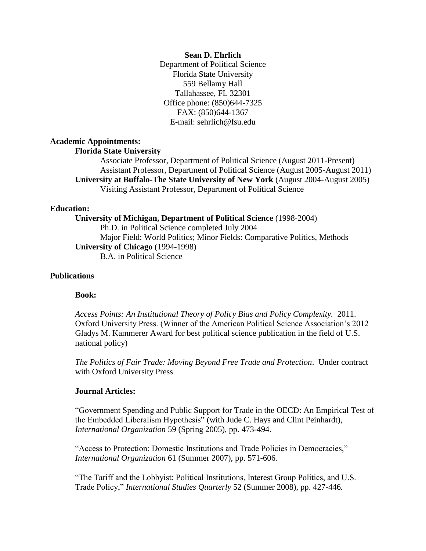### **Sean D. Ehrlich**

Department of Political Science Florida State University 559 Bellamy Hall Tallahassee, FL 32301 Office phone: (850)644-7325 FAX: (850)644-1367 E-mail: sehrlich@fsu.edu

## **Academic Appointments:**

## **Florida State University**

Associate Professor, Department of Political Science (August 2011-Present) Assistant Professor, Department of Political Science (August 2005-August 2011) **University at Buffalo-The State University of New York** (August 2004-August 2005) Visiting Assistant Professor, Department of Political Science

## **Education:**

### **University of Michigan, Department of Political Science** (1998-2004)

Ph.D. in Political Science completed July 2004 Major Field: World Politics; Minor Fields: Comparative Politics, Methods **University of Chicago** (1994-1998)

B.A. in Political Science

# **Publications**

### **Book:**

*Access Points: An Institutional Theory of Policy Bias and Policy Complexity.* 2011. Oxford University Press. (Winner of the American Political Science Association's 2012 Gladys M. Kammerer Award for best political science publication in the field of U.S. national policy)

*The Politics of Fair Trade: Moving Beyond Free Trade and Protection*. Under contract with Oxford University Press

#### **Journal Articles:**

"Government Spending and Public Support for Trade in the OECD: An Empirical Test of the Embedded Liberalism Hypothesis" (with Jude C. Hays and Clint Peinhardt), *International Organization* 59 (Spring 2005), pp. 473-494.

"Access to Protection: Domestic Institutions and Trade Policies in Democracies," *International Organization* 61 (Summer 2007), pp. 571-606*.*

"The Tariff and the Lobbyist: Political Institutions, Interest Group Politics, and U.S. Trade Policy," *International Studies Quarterly* 52 (Summer 2008), pp. 427-446*.*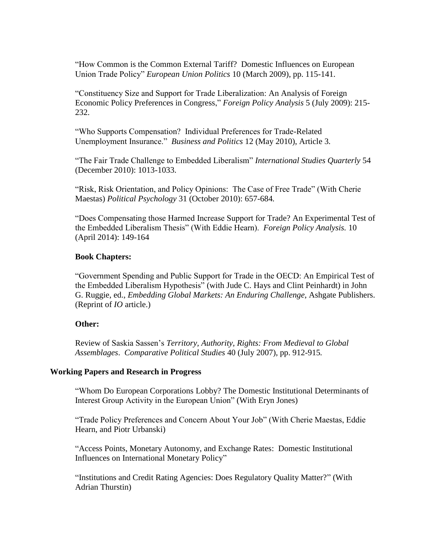"How Common is the Common External Tariff? Domestic Influences on European Union Trade Policy" *European Union Politics* 10 (March 2009), pp. 115-141.

"Constituency Size and Support for Trade Liberalization: An Analysis of Foreign Economic Policy Preferences in Congress," *Foreign Policy Analysis* 5 (July 2009): 215- 232.

"Who Supports Compensation? Individual Preferences for Trade-Related Unemployment Insurance."*Business and Politics* 12 (May 2010), Article 3*.*

"The Fair Trade Challenge to Embedded Liberalism" *International Studies Quarterly* 54 (December 2010): 1013-1033.

"Risk, Risk Orientation, and Policy Opinions: The Case of Free Trade" (With Cherie Maestas) *Political Psychology* 31 (October 2010): 657-684*.*

"Does Compensating those Harmed Increase Support for Trade? An Experimental Test of the Embedded Liberalism Thesis" (With Eddie Hearn). *Foreign Policy Analysis.* 10 (April 2014): 149-164

# **Book Chapters:**

"Government Spending and Public Support for Trade in the OECD: An Empirical Test of the Embedded Liberalism Hypothesis" (with Jude C. Hays and Clint Peinhardt) in John G. Ruggie, ed., *Embedding Global Markets: An Enduring Challenge*, Ashgate Publishers. (Reprint of *IO* article.)

### **Other:**

Review of Saskia Sassen's *Territory, Authority, Rights: From Medieval to Global Assemblages*. *Comparative Political Studies* 40 (July 2007), pp. 912-915*.*

### **Working Papers and Research in Progress**

"Whom Do European Corporations Lobby? The Domestic Institutional Determinants of Interest Group Activity in the European Union" (With Eryn Jones)

"Trade Policy Preferences and Concern About Your Job" (With Cherie Maestas, Eddie Hearn, and Piotr Urbanski)

"Access Points, Monetary Autonomy, and Exchange Rates: Domestic Institutional Influences on International Monetary Policy"

"Institutions and Credit Rating Agencies: Does Regulatory Quality Matter?" (With Adrian Thurstin)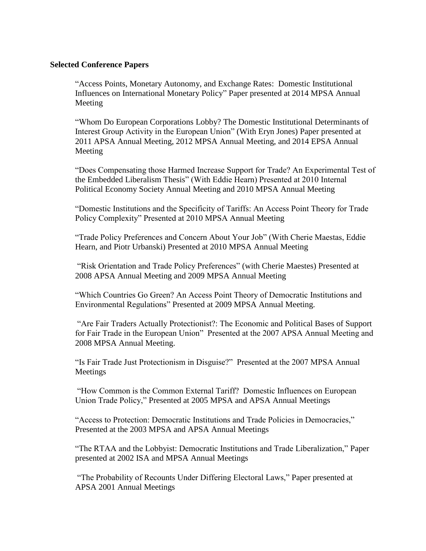# **Selected Conference Papers**

"Access Points, Monetary Autonomy, and Exchange Rates: Domestic Institutional Influences on International Monetary Policy" Paper presented at 2014 MPSA Annual Meeting

"Whom Do European Corporations Lobby? The Domestic Institutional Determinants of Interest Group Activity in the European Union" (With Eryn Jones) Paper presented at 2011 APSA Annual Meeting, 2012 MPSA Annual Meeting, and 2014 EPSA Annual Meeting

"Does Compensating those Harmed Increase Support for Trade? An Experimental Test of the Embedded Liberalism Thesis" (With Eddie Hearn) Presented at 2010 Internal Political Economy Society Annual Meeting and 2010 MPSA Annual Meeting

"Domestic Institutions and the Specificity of Tariffs: An Access Point Theory for Trade Policy Complexity" Presented at 2010 MPSA Annual Meeting

"Trade Policy Preferences and Concern About Your Job" (With Cherie Maestas, Eddie Hearn, and Piotr Urbanski) Presented at 2010 MPSA Annual Meeting

"Risk Orientation and Trade Policy Preferences" (with Cherie Maestes) Presented at 2008 APSA Annual Meeting and 2009 MPSA Annual Meeting

"Which Countries Go Green? An Access Point Theory of Democratic Institutions and Environmental Regulations" Presented at 2009 MPSA Annual Meeting.

"Are Fair Traders Actually Protectionist?: The Economic and Political Bases of Support for Fair Trade in the European Union" Presented at the 2007 APSA Annual Meeting and 2008 MPSA Annual Meeting.

"Is Fair Trade Just Protectionism in Disguise?" Presented at the 2007 MPSA Annual Meetings

"How Common is the Common External Tariff? Domestic Influences on European Union Trade Policy," Presented at 2005 MPSA and APSA Annual Meetings

"Access to Protection: Democratic Institutions and Trade Policies in Democracies," Presented at the 2003 MPSA and APSA Annual Meetings

"The RTAA and the Lobbyist: Democratic Institutions and Trade Liberalization," Paper presented at 2002 ISA and MPSA Annual Meetings

"The Probability of Recounts Under Differing Electoral Laws," Paper presented at APSA 2001 Annual Meetings